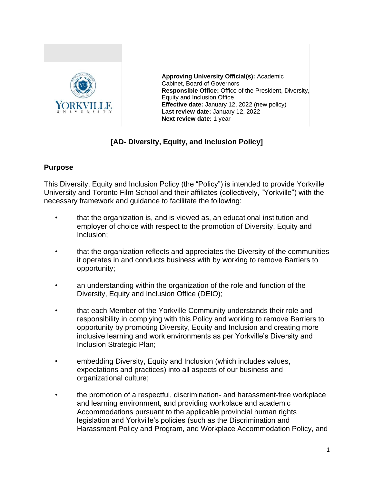

**Approving University Official(s):** Academic Cabinet, Board of Governors **Responsible Office:** Office of the President, Diversity, Equity and Inclusion Office **Effective date:** January 12, 2022 (new policy) **Last review date:** January 12, 2022 **Next review date:** 1 year

## **[AD- Diversity, Equity, and Inclusion Policy]**

#### **Purpose**

This Diversity, Equity and Inclusion Policy (the "Policy") is intended to provide Yorkville University and Toronto Film School and their affiliates (collectively, "Yorkville") with the necessary framework and guidance to facilitate the following:

- that the organization is, and is viewed as, an educational institution and employer of choice with respect to the promotion of Diversity, Equity and Inclusion;
- that the organization reflects and appreciates the Diversity of the communities it operates in and conducts business with by working to remove Barriers to opportunity;
- an understanding within the organization of the role and function of the Diversity, Equity and Inclusion Office (DEIO);
- that each Member of the Yorkville Community understands their role and responsibility in complying with this Policy and working to remove Barriers to opportunity by promoting Diversity, Equity and Inclusion and creating more inclusive learning and work environments as per Yorkville's Diversity and Inclusion Strategic Plan;
- embedding Diversity, Equity and Inclusion (which includes values, expectations and practices) into all aspects of our business and organizational culture;
- the promotion of a respectful, discrimination- and harassment-free workplace and learning environment, and providing workplace and academic Accommodations pursuant to the applicable provincial human rights legislation and Yorkville's policies (such as the Discrimination and Harassment Policy and Program, and Workplace Accommodation Policy, and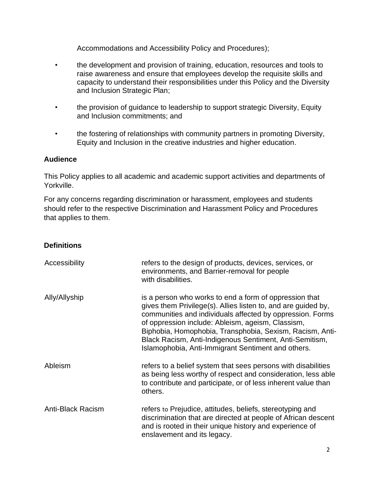Accommodations and Accessibility Policy and Procedures);

- the development and provision of training, education, resources and tools to raise awareness and ensure that employees develop the requisite skills and capacity to understand their responsibilities under this Policy and the Diversity and Inclusion Strategic Plan;
- the provision of guidance to leadership to support strategic Diversity, Equity and Inclusion commitments; and
- the fostering of relationships with community partners in promoting Diversity, Equity and Inclusion in the creative industries and higher education.

### **Audience**

This Policy applies to all academic and academic support activities and departments of Yorkville.

For any concerns regarding discrimination or harassment, employees and students should refer to the respective Discrimination and Harassment Policy and Procedures that applies to them.

### **Definitions**

| Accessibility     | refers to the design of products, devices, services, or<br>environments, and Barrier-removal for people<br>with disabilities.                                                                                                                                                                                                                                                                                          |
|-------------------|------------------------------------------------------------------------------------------------------------------------------------------------------------------------------------------------------------------------------------------------------------------------------------------------------------------------------------------------------------------------------------------------------------------------|
| Ally/Allyship     | is a person who works to end a form of oppression that<br>gives them Privilege(s). Allies listen to, and are guided by,<br>communities and individuals affected by oppression. Forms<br>of oppression include: Ableism, ageism, Classism,<br>Biphobia, Homophobia, Transphobia, Sexism, Racism, Anti-<br>Black Racism, Anti-Indigenous Sentiment, Anti-Semitism,<br>Islamophobia, Anti-Immigrant Sentiment and others. |
| Ableism           | refers to a belief system that sees persons with disabilities<br>as being less worthy of respect and consideration, less able<br>to contribute and participate, or of less inherent value than<br>others.                                                                                                                                                                                                              |
| Anti-Black Racism | refers to Prejudice, attitudes, beliefs, stereotyping and<br>discrimination that are directed at people of African descent<br>and is rooted in their unique history and experience of<br>enslavement and its legacy.                                                                                                                                                                                                   |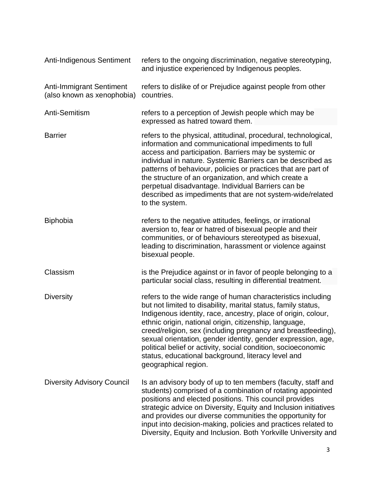| Anti-Indigenous Sentiment                                     | refers to the ongoing discrimination, negative stereotyping,<br>and injustice experienced by Indigenous peoples.                                                                                                                                                                                                                                                                                                                                                                                                                       |
|---------------------------------------------------------------|----------------------------------------------------------------------------------------------------------------------------------------------------------------------------------------------------------------------------------------------------------------------------------------------------------------------------------------------------------------------------------------------------------------------------------------------------------------------------------------------------------------------------------------|
| <b>Anti-Immigrant Sentiment</b><br>(also known as xenophobia) | refers to dislike of or Prejudice against people from other<br>countries.                                                                                                                                                                                                                                                                                                                                                                                                                                                              |
| Anti-Semitism                                                 | refers to a perception of Jewish people which may be<br>expressed as hatred toward them.                                                                                                                                                                                                                                                                                                                                                                                                                                               |
| <b>Barrier</b>                                                | refers to the physical, attitudinal, procedural, technological,<br>information and communicational impediments to full<br>access and participation. Barriers may be systemic or<br>individual in nature. Systemic Barriers can be described as<br>patterns of behaviour, policies or practices that are part of<br>the structure of an organization, and which create a<br>perpetual disadvantage. Individual Barriers can be<br>described as impediments that are not system-wide/related<br>to the system.                           |
| <b>Biphobia</b>                                               | refers to the negative attitudes, feelings, or irrational<br>aversion to, fear or hatred of bisexual people and their<br>communities, or of behaviours stereotyped as bisexual,<br>leading to discrimination, harassment or violence against<br>bisexual people.                                                                                                                                                                                                                                                                       |
| Classism                                                      | is the Prejudice against or in favor of people belonging to a<br>particular social class, resulting in differential treatment.                                                                                                                                                                                                                                                                                                                                                                                                         |
| <b>Diversity</b>                                              | refers to the wide range of human characteristics including<br>but not limited to disability, marital status, family status,<br>Indigenous identity, race, ancestry, place of origin, colour,<br>ethnic origin, national origin, citizenship, language,<br>creed/religion, sex (including pregnancy and breastfeeding),<br>sexual orientation, gender identity, gender expression, age,<br>political belief or activity, social condition, socioeconomic<br>status, educational background, literacy level and<br>geographical region. |
| <b>Diversity Advisory Council</b>                             | Is an advisory body of up to ten members (faculty, staff and<br>students) comprised of a combination of rotating appointed<br>positions and elected positions. This council provides<br>strategic advice on Diversity, Equity and Inclusion initiatives<br>and provides our diverse communities the opportunity for<br>input into decision-making, policies and practices related to<br>Diversity, Equity and Inclusion. Both Yorkville University and                                                                                 |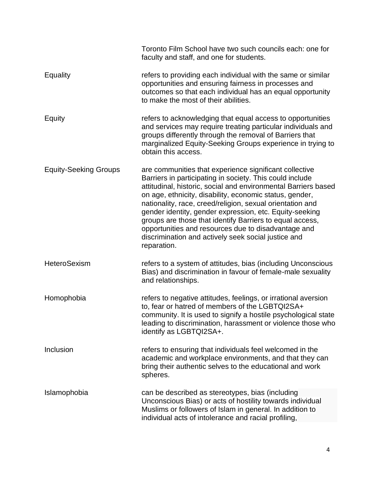|                              | Toronto Film School have two such councils each: one for<br>faculty and staff, and one for students.                                                                                                                                                                                                                                                                                                                                                                                                                                                             |
|------------------------------|------------------------------------------------------------------------------------------------------------------------------------------------------------------------------------------------------------------------------------------------------------------------------------------------------------------------------------------------------------------------------------------------------------------------------------------------------------------------------------------------------------------------------------------------------------------|
| <b>Equality</b>              | refers to providing each individual with the same or similar<br>opportunities and ensuring fairness in processes and<br>outcomes so that each individual has an equal opportunity<br>to make the most of their abilities.                                                                                                                                                                                                                                                                                                                                        |
| Equity                       | refers to acknowledging that equal access to opportunities<br>and services may require treating particular individuals and<br>groups differently through the removal of Barriers that<br>marginalized Equity-Seeking Groups experience in trying to<br>obtain this access.                                                                                                                                                                                                                                                                                       |
| <b>Equity-Seeking Groups</b> | are communities that experience significant collective<br>Barriers in participating in society. This could include<br>attitudinal, historic, social and environmental Barriers based<br>on age, ethnicity, disability, economic status, gender,<br>nationality, race, creed/religion, sexual orientation and<br>gender identity, gender expression, etc. Equity-seeking<br>groups are those that identify Barriers to equal access,<br>opportunities and resources due to disadvantage and<br>discrimination and actively seek social justice and<br>reparation. |
| HeteroSexism                 | refers to a system of attitudes, bias (including Unconscious<br>Bias) and discrimination in favour of female-male sexuality<br>and relationships.                                                                                                                                                                                                                                                                                                                                                                                                                |
| Homophobia                   | refers to negative attitudes, feelings, or irrational aversion<br>to, fear or hatred of members of the LGBTQI2SA+<br>community. It is used to signify a hostile psychological state<br>leading to discrimination, harassment or violence those who<br>identify as LGBTQI2SA+.                                                                                                                                                                                                                                                                                    |
| Inclusion                    | refers to ensuring that individuals feel welcomed in the<br>academic and workplace environments, and that they can<br>bring their authentic selves to the educational and work<br>spheres.                                                                                                                                                                                                                                                                                                                                                                       |
| Islamophobia                 | can be described as stereotypes, bias (including<br>Unconscious Bias) or acts of hostility towards individual<br>Muslims or followers of Islam in general. In addition to<br>individual acts of intolerance and racial profiling,                                                                                                                                                                                                                                                                                                                                |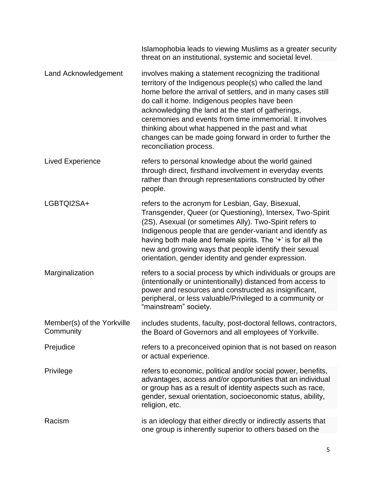|                                         | Islamophobia leads to viewing Muslims as a greater security<br>threat on an institutional, systemic and societal level.                                                                                                                                                                                                                                                                                                                                                                             |
|-----------------------------------------|-----------------------------------------------------------------------------------------------------------------------------------------------------------------------------------------------------------------------------------------------------------------------------------------------------------------------------------------------------------------------------------------------------------------------------------------------------------------------------------------------------|
| Land Acknowledgement                    | involves making a statement recognizing the traditional<br>territory of the Indigenous people(s) who called the land<br>home before the arrival of settlers, and in many cases still<br>do call it home. Indigenous peoples have been<br>acknowledging the land at the start of gatherings,<br>ceremonies and events from time immemorial. It involves<br>thinking about what happened in the past and what<br>changes can be made going forward in order to further the<br>reconciliation process. |
| <b>Lived Experience</b>                 | refers to personal knowledge about the world gained<br>through direct, firsthand involvement in everyday events<br>rather than through representations constructed by other<br>people.                                                                                                                                                                                                                                                                                                              |
| LGBTQI2SA+                              | refers to the acronym for Lesbian, Gay, Bisexual,<br>Transgender, Queer (or Questioning), Intersex, Two-Spirit<br>(2S), Asexual (or sometimes Ally). Two-Spirit refers to<br>Indigenous people that are gender-variant and identify as<br>having both male and female spirits. The '+' is for all the<br>new and growing ways that people identify their sexual<br>orientation, gender identity and gender expression.                                                                              |
| Marginalization                         | refers to a social process by which individuals or groups are<br>(intentionally or unintentionally) distanced from access to<br>power and resources and constructed as insignificant,<br>peripheral, or less valuable/Privileged to a community or<br>"mainstream" society.                                                                                                                                                                                                                         |
| Member(s) of the Yorkville<br>Community | includes students, faculty, post-doctoral fellows, contractors,<br>the Board of Governors and all employees of Yorkville.                                                                                                                                                                                                                                                                                                                                                                           |
| Prejudice                               | refers to a preconceived opinion that is not based on reason<br>or actual experience.                                                                                                                                                                                                                                                                                                                                                                                                               |
| Privilege                               | refers to economic, political and/or social power, benefits,<br>advantages, access and/or opportunities that an individual<br>or group has as a result of identity aspects such as race,<br>gender, sexual orientation, socioeconomic status, ability,<br>religion, etc.                                                                                                                                                                                                                            |
| Racism                                  | is an ideology that either directly or indirectly asserts that<br>one group is inherently superior to others based on the                                                                                                                                                                                                                                                                                                                                                                           |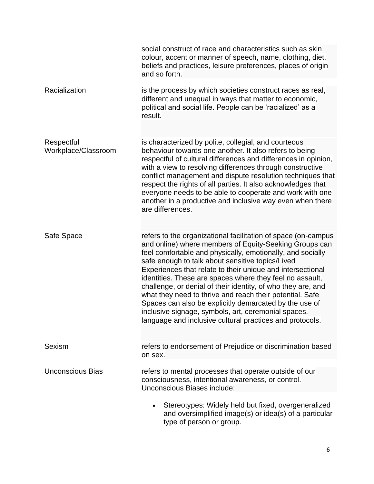|                                   | social construct of race and characteristics such as skin<br>colour, accent or manner of speech, name, clothing, diet,<br>beliefs and practices, leisure preferences, places of origin<br>and so forth.                                                                                                                                                                                                                                                                                                                                                                                                                                                                      |
|-----------------------------------|------------------------------------------------------------------------------------------------------------------------------------------------------------------------------------------------------------------------------------------------------------------------------------------------------------------------------------------------------------------------------------------------------------------------------------------------------------------------------------------------------------------------------------------------------------------------------------------------------------------------------------------------------------------------------|
| Racialization                     | is the process by which societies construct races as real,<br>different and unequal in ways that matter to economic,<br>political and social life. People can be 'racialized' as a<br>result.                                                                                                                                                                                                                                                                                                                                                                                                                                                                                |
| Respectful<br>Workplace/Classroom | is characterized by polite, collegial, and courteous<br>behaviour towards one another. It also refers to being<br>respectful of cultural differences and differences in opinion,<br>with a view to resolving differences through constructive<br>conflict management and dispute resolution techniques that<br>respect the rights of all parties. It also acknowledges that<br>everyone needs to be able to cooperate and work with one<br>another in a productive and inclusive way even when there<br>are differences.                                                                                                                                                     |
| Safe Space                        | refers to the organizational facilitation of space (on-campus<br>and online) where members of Equity-Seeking Groups can<br>feel comfortable and physically, emotionally, and socially<br>safe enough to talk about sensitive topics/Lived<br>Experiences that relate to their unique and intersectional<br>identities. These are spaces where they feel no assault,<br>challenge, or denial of their identity, of who they are, and<br>what they need to thrive and reach their potential. Safe<br>Spaces can also be explicitly demarcated by the use of<br>inclusive signage, symbols, art, ceremonial spaces,<br>language and inclusive cultural practices and protocols. |
| <b>Sexism</b>                     | refers to endorsement of Prejudice or discrimination based<br>on sex.                                                                                                                                                                                                                                                                                                                                                                                                                                                                                                                                                                                                        |
| <b>Unconscious Bias</b>           | refers to mental processes that operate outside of our<br>consciousness, intentional awareness, or control.<br>Unconscious Biases include:                                                                                                                                                                                                                                                                                                                                                                                                                                                                                                                                   |
|                                   | Stereotypes: Widely held but fixed, overgeneralized<br>and oversimplified image(s) or idea(s) of a particular<br>type of person or group.                                                                                                                                                                                                                                                                                                                                                                                                                                                                                                                                    |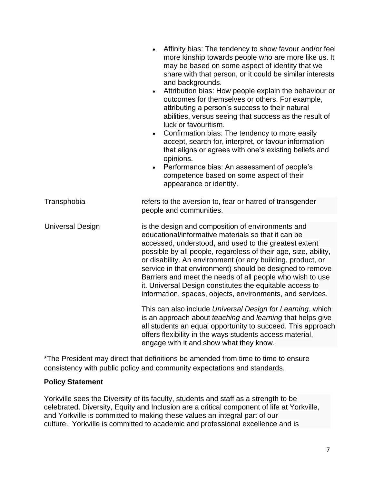|                         | Affinity bias: The tendency to show favour and/or feel<br>more kinship towards people who are more like us. It<br>may be based on some aspect of identity that we<br>share with that person, or it could be similar interests<br>and backgrounds.<br>Attribution bias: How people explain the behaviour or<br>$\bullet$<br>outcomes for themselves or others. For example,<br>attributing a person's success to their natural<br>abilities, versus seeing that success as the result of<br>luck or favouritism.<br>Confirmation bias: The tendency to more easily<br>$\bullet$<br>accept, search for, interpret, or favour information<br>that aligns or agrees with one's existing beliefs and<br>opinions.<br>Performance bias: An assessment of people's<br>competence based on some aspect of their<br>appearance or identity.                       |
|-------------------------|----------------------------------------------------------------------------------------------------------------------------------------------------------------------------------------------------------------------------------------------------------------------------------------------------------------------------------------------------------------------------------------------------------------------------------------------------------------------------------------------------------------------------------------------------------------------------------------------------------------------------------------------------------------------------------------------------------------------------------------------------------------------------------------------------------------------------------------------------------|
| Transphobia             | refers to the aversion to, fear or hatred of transgender<br>people and communities.                                                                                                                                                                                                                                                                                                                                                                                                                                                                                                                                                                                                                                                                                                                                                                      |
| <b>Universal Design</b> | is the design and composition of environments and<br>educational/informative materials so that it can be<br>accessed, understood, and used to the greatest extent<br>possible by all people, regardless of their age, size, ability,<br>or disability. An environment (or any building, product, or<br>service in that environment) should be designed to remove<br>Barriers and meet the needs of all people who wish to use<br>it. Universal Design constitutes the equitable access to<br>information, spaces, objects, environments, and services.<br>This can also include Universal Design for Learning, which<br>is an approach about teaching and learning that helps give<br>all students an equal opportunity to succeed. This approach<br>offers flexibility in the ways students access material,<br>engage with it and show what they know. |

\*The President may direct that definitions be amended from time to time to ensure consistency with public policy and community expectations and standards.

#### **Policy Statement**

Yorkville sees the Diversity of its faculty, students and staff as a strength to be celebrated. Diversity, Equity and Inclusion are a critical component of life at Yorkville, and Yorkville is committed to making these values an integral part of our culture. Yorkville is committed to academic and professional excellence and is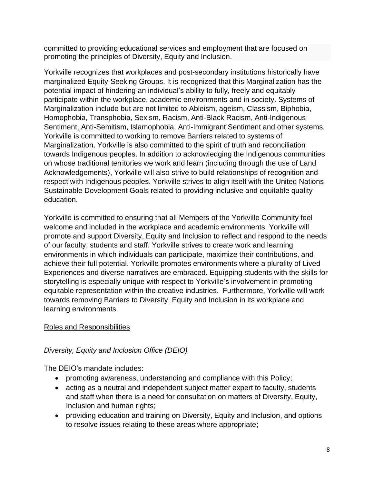committed to providing educational services and employment that are focused on promoting the principles of Diversity, Equity and Inclusion.

Yorkville recognizes that workplaces and post-secondary institutions historically have marginalized Equity-Seeking Groups. It is recognized that this Marginalization has the potential impact of hindering an individual's ability to fully, freely and equitably participate within the workplace, academic environments and in society. Systems of Marginalization include but are not limited to Ableism, ageism, Classism, Biphobia, Homophobia, Transphobia, Sexism, Racism, Anti-Black Racism, Anti-Indigenous Sentiment, Anti-Semitism, Islamophobia, Anti-Immigrant Sentiment and other systems. Yorkville is committed to working to remove Barriers related to systems of Marginalization. Yorkville is also committed to the spirit of truth and reconciliation towards Indigenous peoples. In addition to acknowledging the Indigenous communities on whose traditional territories we work and learn (including through the use of Land Acknowledgements), Yorkville will also strive to build relationships of recognition and respect with Indigenous peoples. Yorkville strives to align itself with the United Nations Sustainable Development Goals related to providing inclusive and equitable quality education.

Yorkville is committed to ensuring that all Members of the Yorkville Community feel welcome and included in the workplace and academic environments. Yorkville will promote and support Diversity, Equity and Inclusion to reflect and respond to the needs of our faculty, students and staff. Yorkville strives to create work and learning environments in which individuals can participate, maximize their contributions, and achieve their full potential. Yorkville promotes environments where a plurality of Lived Experiences and diverse narratives are embraced. Equipping students with the skills for storytelling is especially unique with respect to Yorkville's involvement in promoting equitable representation within the creative industries. Furthermore, Yorkville will work towards removing Barriers to Diversity, Equity and Inclusion in its workplace and learning environments.

### Roles and Responsibilities

## *Diversity, Equity and Inclusion Office (DEIO)*

The DEIO's mandate includes:

- promoting awareness, understanding and compliance with this Policy;
- acting as a neutral and independent subject matter expert to faculty, students and staff when there is a need for consultation on matters of Diversity, Equity, Inclusion and human rights;
- providing education and training on Diversity, Equity and Inclusion, and options to resolve issues relating to these areas where appropriate;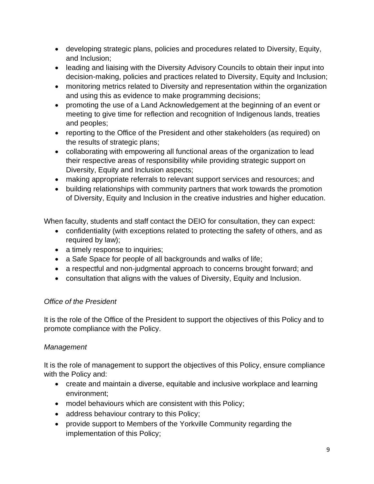- developing strategic plans, policies and procedures related to Diversity, Equity, and Inclusion;
- leading and liaising with the Diversity Advisory Councils to obtain their input into decision-making, policies and practices related to Diversity, Equity and Inclusion;
- monitoring metrics related to Diversity and representation within the organization and using this as evidence to make programming decisions;
- promoting the use of a Land Acknowledgement at the beginning of an event or meeting to give time for reflection and recognition of Indigenous lands, treaties and peoples;
- reporting to the Office of the President and other stakeholders (as required) on the results of strategic plans;
- collaborating with empowering all functional areas of the organization to lead their respective areas of responsibility while providing strategic support on Diversity, Equity and Inclusion aspects;
- making appropriate referrals to relevant support services and resources; and
- building relationships with community partners that work towards the promotion of Diversity, Equity and Inclusion in the creative industries and higher education.

When faculty, students and staff contact the DEIO for consultation, they can expect:

- confidentiality (with exceptions related to protecting the safety of others, and as required by law);
- a timely response to inquiries;
- a Safe Space for people of all backgrounds and walks of life;
- a respectful and non-judgmental approach to concerns brought forward; and
- consultation that aligns with the values of Diversity, Equity and Inclusion.

### *Office of the President*

It is the role of the Office of the President to support the objectives of this Policy and to promote compliance with the Policy.

### *Management*

It is the role of management to support the objectives of this Policy, ensure compliance with the Policy and:

- create and maintain a diverse, equitable and inclusive workplace and learning environment;
- model behaviours which are consistent with this Policy;
- address behaviour contrary to this Policy;
- provide support to Members of the Yorkville Community regarding the implementation of this Policy;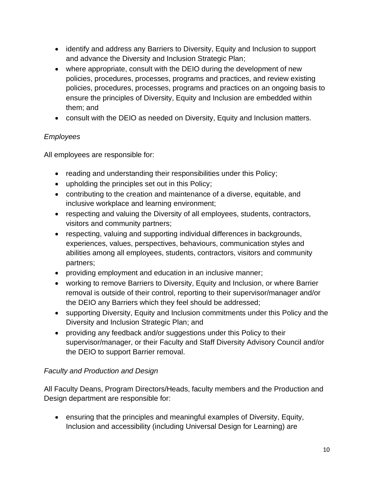- identify and address any Barriers to Diversity, Equity and Inclusion to support and advance the Diversity and Inclusion Strategic Plan;
- where appropriate, consult with the DEIO during the development of new policies, procedures, processes, programs and practices, and review existing policies, procedures, processes, programs and practices on an ongoing basis to ensure the principles of Diversity, Equity and Inclusion are embedded within them; and
- consult with the DEIO as needed on Diversity, Equity and Inclusion matters.

## *Employees*

All employees are responsible for:

- reading and understanding their responsibilities under this Policy;
- upholding the principles set out in this Policy;
- contributing to the creation and maintenance of a diverse, equitable, and inclusive workplace and learning environment;
- respecting and valuing the Diversity of all employees, students, contractors, visitors and community partners;
- respecting, valuing and supporting individual differences in backgrounds, experiences, values, perspectives, behaviours, communication styles and abilities among all employees, students, contractors, visitors and community partners;
- providing employment and education in an inclusive manner;
- working to remove Barriers to Diversity, Equity and Inclusion, or where Barrier removal is outside of their control, reporting to their supervisor/manager and/or the DEIO any Barriers which they feel should be addressed;
- supporting Diversity, Equity and Inclusion commitments under this Policy and the Diversity and Inclusion Strategic Plan; and
- providing any feedback and/or suggestions under this Policy to their supervisor/manager, or their Faculty and Staff Diversity Advisory Council and/or the DEIO to support Barrier removal.

# *Faculty and Production and Design*

All Faculty Deans, Program Directors/Heads, faculty members and the Production and Design department are responsible for:

• ensuring that the principles and meaningful examples of Diversity, Equity, Inclusion and accessibility (including Universal Design for Learning) are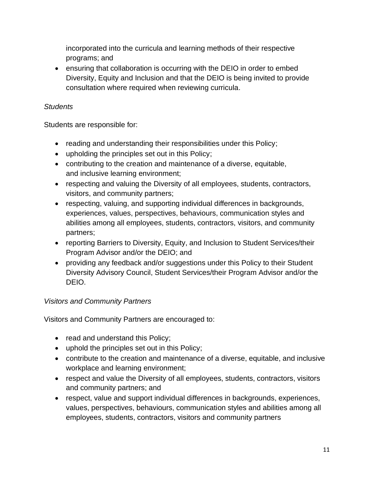incorporated into the curricula and learning methods of their respective programs; and

• ensuring that collaboration is occurring with the DEIO in order to embed Diversity, Equity and Inclusion and that the DEIO is being invited to provide consultation where required when reviewing curricula.

## *Students*

Students are responsible for:

- reading and understanding their responsibilities under this Policy;
- upholding the principles set out in this Policy;
- contributing to the creation and maintenance of a diverse, equitable, and inclusive learning environment;
- respecting and valuing the Diversity of all employees, students, contractors, visitors, and community partners;
- respecting, valuing, and supporting individual differences in backgrounds, experiences, values, perspectives, behaviours, communication styles and abilities among all employees, students, contractors, visitors, and community partners;
- reporting Barriers to Diversity, Equity, and Inclusion to Student Services/their Program Advisor and/or the DEIO; and
- providing any feedback and/or suggestions under this Policy to their Student Diversity Advisory Council, Student Services/their Program Advisor and/or the DEIO.

## *Visitors and Community Partners*

Visitors and Community Partners are encouraged to:

- read and understand this Policy;
- uphold the principles set out in this Policy;
- contribute to the creation and maintenance of a diverse, equitable, and inclusive workplace and learning environment;
- respect and value the Diversity of all employees, students, contractors, visitors and community partners; and
- respect, value and support individual differences in backgrounds, experiences, values, perspectives, behaviours, communication styles and abilities among all employees, students, contractors, visitors and community partners